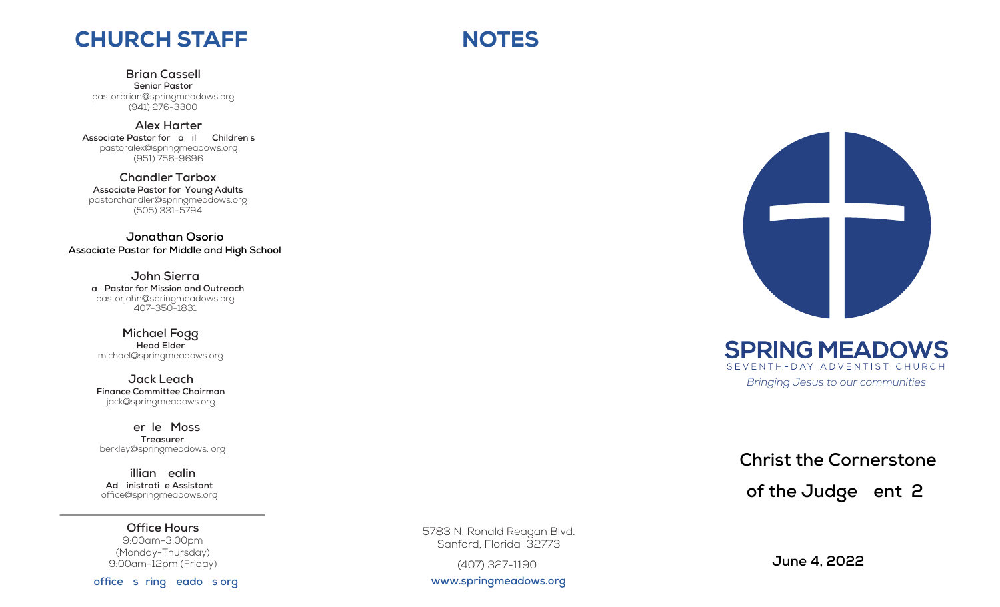## CHURCH STAFF

**Brian Cassell Senior Pastor** pastorbrian@springmeadows.org (941) 276-3300

**Alex Harter** Associate Pastor for **a** il Children s pastoralex@springmeadows.org (951) 756-9696

**Chandler Tarbox Associate Pastor for Young Adults** pastorchandler@springmeadows.org (505) 331-5794

**Jonathan Osorio Associate Pastor for Middle and High School**

> **John Sierra Lay Pastor for Mission and Outreach** pastorjohn@springmeadows.org 407-350-1831

**Michael Fogg Head Elder** michael@springmeadows.org

**Jack Leach Finance Committee Chairman** jack@springmeadows.org

**Berkley Moss Treasurer** berkley@springmeadows. org

**illian** ealin Ad inistrati e Assistant office@springmeadows.org

**Office Hours** 9:00am-3:00pm (Monday-Thursday) 9:00am-12pm (Friday)

office s ring eado sorg

5783 N. Ronald Reagan Blvd. Sanford, Florida 32773

(407) 327-1190

**www.springmeadows.org**



*Bringing Jesus to our communities*

# **Christ the Cornerstone** of the Judge ent 2

 **June 4, 2022**

# **NOTES**